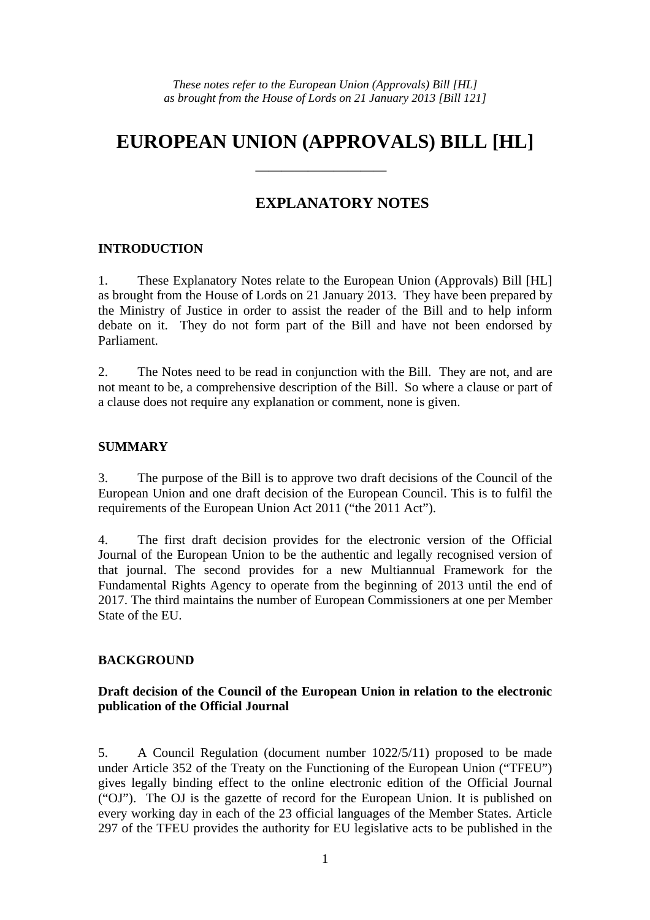## **EUROPEAN UNION (APPROVALS) BILL [HL]**

——————————

### **EXPLANATORY NOTES**

#### **INTRODUCTION**

1. These Explanatory Notes relate to the European Union (Approvals) Bill [HL] as brought from the House of Lords on 21 January 2013. They have been prepared by the Ministry of Justice in order to assist the reader of the Bill and to help inform debate on it. They do not form part of the Bill and have not been endorsed by Parliament.

2. The Notes need to be read in conjunction with the Bill. They are not, and are not meant to be, a comprehensive description of the Bill. So where a clause or part of a clause does not require any explanation or comment, none is given.

#### **SUMMARY**

3. The purpose of the Bill is to approve two draft decisions of the Council of the European Union and one draft decision of the European Council. This is to fulfil the requirements of the European Union Act 2011 ("the 2011 Act").

4. The first draft decision provides for the electronic version of the Official Journal of the European Union to be the authentic and legally recognised version of that journal. The second provides for a new Multiannual Framework for the Fundamental Rights Agency to operate from the beginning of 2013 until the end of 2017. The third maintains the number of European Commissioners at one per Member State of the EU.

#### **BACKGROUND**

#### **Draft decision of the Council of the European Union in relation to the electronic publication of the Official Journal**

5. A Council Regulation (document number 1022/5/11) proposed to be made under Article 352 of the Treaty on the Functioning of the European Union ("TFEU") gives legally binding effect to the online electronic edition of the Official Journal ("OJ"). The OJ is the gazette of record for the European Union. It is published on every working day in each of the 23 official languages of the Member States. Article 297 of the TFEU provides the authority for EU legislative acts to be published in the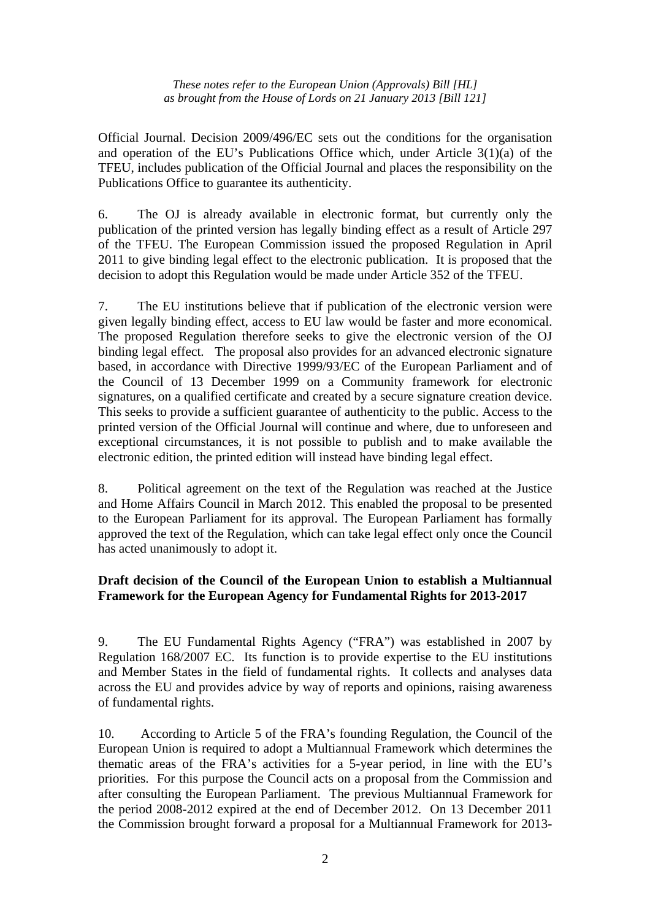Official Journal. Decision 2009/496/EC sets out the conditions for the organisation and operation of the EU's Publications Office which, under Article  $3(1)(a)$  of the TFEU, includes publication of the Official Journal and places the responsibility on the Publications Office to guarantee its authenticity.

6. The OJ is already available in electronic format, but currently only the publication of the printed version has legally binding effect as a result of Article 297 of the TFEU. The European Commission issued the proposed Regulation in April 2011 to give binding legal effect to the electronic publication. It is proposed that the decision to adopt this Regulation would be made under Article 352 of the TFEU.

7. The EU institutions believe that if publication of the electronic version were given legally binding effect, access to EU law would be faster and more economical. The proposed Regulation therefore seeks to give the electronic version of the OJ binding legal effect. The proposal also provides for an advanced electronic signature based, in accordance with Directive 1999/93/EC of the European Parliament and of the Council of 13 December 1999 on a Community framework for electronic signatures, on a qualified certificate and created by a secure signature creation device. This seeks to provide a sufficient guarantee of authenticity to the public. Access to the printed version of the Official Journal will continue and where, due to unforeseen and exceptional circumstances, it is not possible to publish and to make available the electronic edition, the printed edition will instead have binding legal effect.

8. Political agreement on the text of the Regulation was reached at the Justice and Home Affairs Council in March 2012. This enabled the proposal to be presented to the European Parliament for its approval. The European Parliament has formally approved the text of the Regulation, which can take legal effect only once the Council has acted unanimously to adopt it.

#### **Draft decision of the Council of the European Union to establish a Multiannual Framework for the European Agency for Fundamental Rights for 2013-2017**

9. The EU Fundamental Rights Agency ("FRA") was established in 2007 by Regulation 168/2007 EC. Its function is to provide expertise to the EU institutions and Member States in the field of fundamental rights. It collects and analyses data across the EU and provides advice by way of reports and opinions, raising awareness of fundamental rights.

10. According to Article 5 of the FRA's founding Regulation, the Council of the European Union is required to adopt a Multiannual Framework which determines the thematic areas of the FRA's activities for a 5-year period, in line with the EU's priorities. For this purpose the Council acts on a proposal from the Commission and after consulting the European Parliament. The previous Multiannual Framework for the period 2008-2012 expired at the end of December 2012. On 13 December 2011 the Commission brought forward a proposal for a Multiannual Framework for 2013-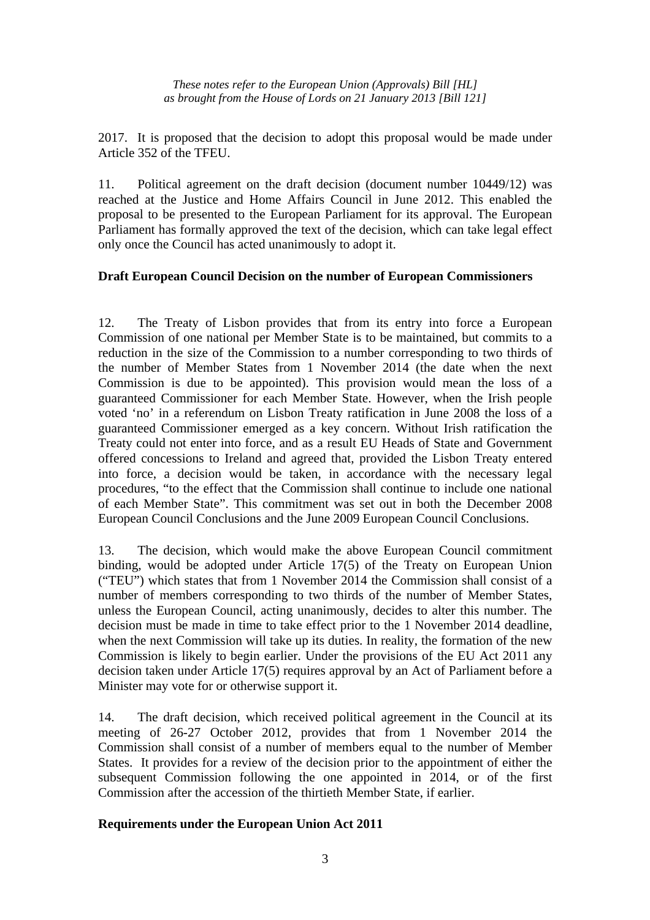2017. It is proposed that the decision to adopt this proposal would be made under Article 352 of the TFEU.

11. Political agreement on the draft decision (document number 10449/12) was reached at the Justice and Home Affairs Council in June 2012. This enabled the proposal to be presented to the European Parliament for its approval. The European Parliament has formally approved the text of the decision, which can take legal effect only once the Council has acted unanimously to adopt it.

#### **Draft European Council Decision on the number of European Commissioners**

12. The Treaty of Lisbon provides that from its entry into force a European Commission of one national per Member State is to be maintained, but commits to a reduction in the size of the Commission to a number corresponding to two thirds of the number of Member States from 1 November 2014 (the date when the next Commission is due to be appointed). This provision would mean the loss of a guaranteed Commissioner for each Member State. However, when the Irish people voted 'no' in a referendum on Lisbon Treaty ratification in June 2008 the loss of a guaranteed Commissioner emerged as a key concern. Without Irish ratification the Treaty could not enter into force, and as a result EU Heads of State and Government offered concessions to Ireland and agreed that, provided the Lisbon Treaty entered into force, a decision would be taken, in accordance with the necessary legal procedures, "to the effect that the Commission shall continue to include one national of each Member State". This commitment was set out in both the December 2008 European Council Conclusions and the June 2009 European Council Conclusions.

13. The decision, which would make the above European Council commitment binding, would be adopted under Article 17(5) of the Treaty on European Union ("TEU") which states that from 1 November 2014 the Commission shall consist of a number of members corresponding to two thirds of the number of Member States, unless the European Council, acting unanimously, decides to alter this number. The decision must be made in time to take effect prior to the 1 November 2014 deadline, when the next Commission will take up its duties. In reality, the formation of the new Commission is likely to begin earlier. Under the provisions of the EU Act 2011 any decision taken under Article 17(5) requires approval by an Act of Parliament before a Minister may vote for or otherwise support it.

14. The draft decision, which received political agreement in the Council at its meeting of 26-27 October 2012, provides that from 1 November 2014 the Commission shall consist of a number of members equal to the number of Member States. It provides for a review of the decision prior to the appointment of either the subsequent Commission following the one appointed in 2014, or of the first Commission after the accession of the thirtieth Member State, if earlier.

#### **Requirements under the European Union Act 2011**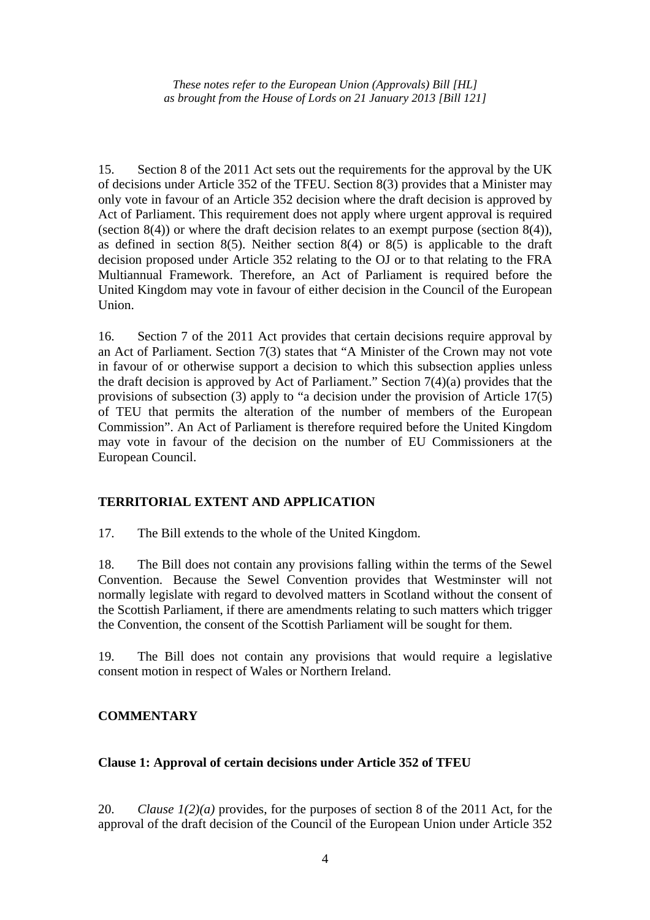15. Section 8 of the 2011 Act sets out the requirements for the approval by the UK of decisions under Article 352 of the TFEU. Section 8(3) provides that a Minister may only vote in favour of an Article 352 decision where the draft decision is approved by Act of Parliament. This requirement does not apply where urgent approval is required (section  $8(4)$ ) or where the draft decision relates to an exempt purpose (section  $8(4)$ ), as defined in section 8(5). Neither section 8(4) or 8(5) is applicable to the draft decision proposed under Article 352 relating to the OJ or to that relating to the FRA Multiannual Framework. Therefore, an Act of Parliament is required before the United Kingdom may vote in favour of either decision in the Council of the European Union.

16. Section 7 of the 2011 Act provides that certain decisions require approval by an Act of Parliament. Section 7(3) states that "A Minister of the Crown may not vote in favour of or otherwise support a decision to which this subsection applies unless the draft decision is approved by Act of Parliament." Section 7(4)(a) provides that the provisions of subsection (3) apply to "a decision under the provision of Article 17(5) of TEU that permits the alteration of the number of members of the European Commission". An Act of Parliament is therefore required before the United Kingdom may vote in favour of the decision on the number of EU Commissioners at the European Council.

#### **TERRITORIAL EXTENT AND APPLICATION**

17. The Bill extends to the whole of the United Kingdom.

18. The Bill does not contain any provisions falling within the terms of the Sewel Convention. Because the Sewel Convention provides that Westminster will not normally legislate with regard to devolved matters in Scotland without the consent of the Scottish Parliament, if there are amendments relating to such matters which trigger the Convention, the consent of the Scottish Parliament will be sought for them.

19. The Bill does not contain any provisions that would require a legislative consent motion in respect of Wales or Northern Ireland.

#### **COMMENTARY**

#### **Clause 1: Approval of certain decisions under Article 352 of TFEU**

20. *Clause 1(2)(a)* provides, for the purposes of section 8 of the 2011 Act, for the approval of the draft decision of the Council of the European Union under Article 352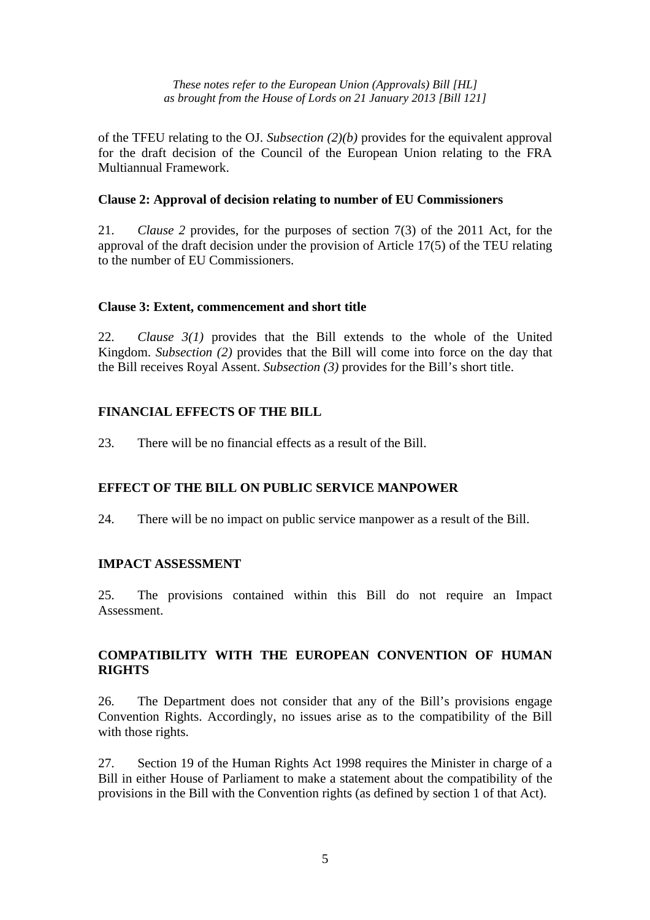of the TFEU relating to the OJ. *Subsection (2)(b)* provides for the equivalent approval for the draft decision of the Council of the European Union relating to the FRA Multiannual Framework.

#### **Clause 2: Approval of decision relating to number of EU Commissioners**

21. *Clause 2* provides, for the purposes of section 7(3) of the 2011 Act, for the approval of the draft decision under the provision of Article 17(5) of the TEU relating to the number of EU Commissioners.

#### **Clause 3: Extent, commencement and short title**

22. *Clause 3(1)* provides that the Bill extends to the whole of the United Kingdom. *Subsection (2)* provides that the Bill will come into force on the day that the Bill receives Royal Assent. *Subsection (3)* provides for the Bill's short title.

#### **FINANCIAL EFFECTS OF THE BILL**

23. There will be no financial effects as a result of the Bill.

#### **EFFECT OF THE BILL ON PUBLIC SERVICE MANPOWER**

24. There will be no impact on public service manpower as a result of the Bill.

#### **IMPACT ASSESSMENT**

25. The provisions contained within this Bill do not require an Impact Assessment.

#### **COMPATIBILITY WITH THE EUROPEAN CONVENTION OF HUMAN RIGHTS**

26. The Department does not consider that any of the Bill's provisions engage Convention Rights. Accordingly, no issues arise as to the compatibility of the Bill with those rights.

27. Section 19 of the Human Rights Act 1998 requires the Minister in charge of a Bill in either House of Parliament to make a statement about the compatibility of the provisions in the Bill with the Convention rights (as defined by section 1 of that Act).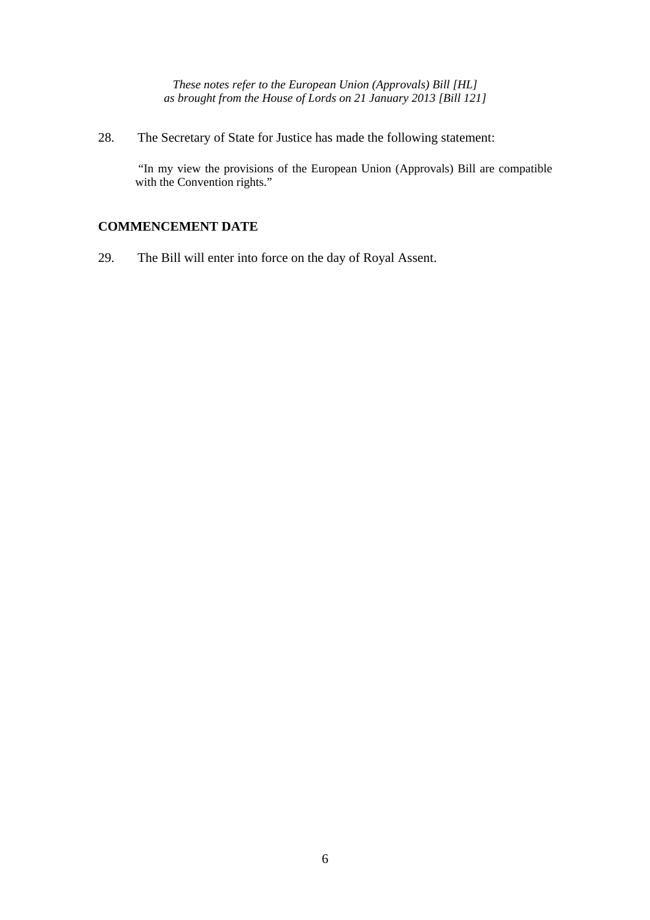28. The Secretary of State for Justice has made the following statement:

 "In my view the provisions of the European Union (Approvals) Bill are compatible with the Convention rights."

#### **COMMENCEMENT DATE**

29. The Bill will enter into force on the day of Royal Assent.